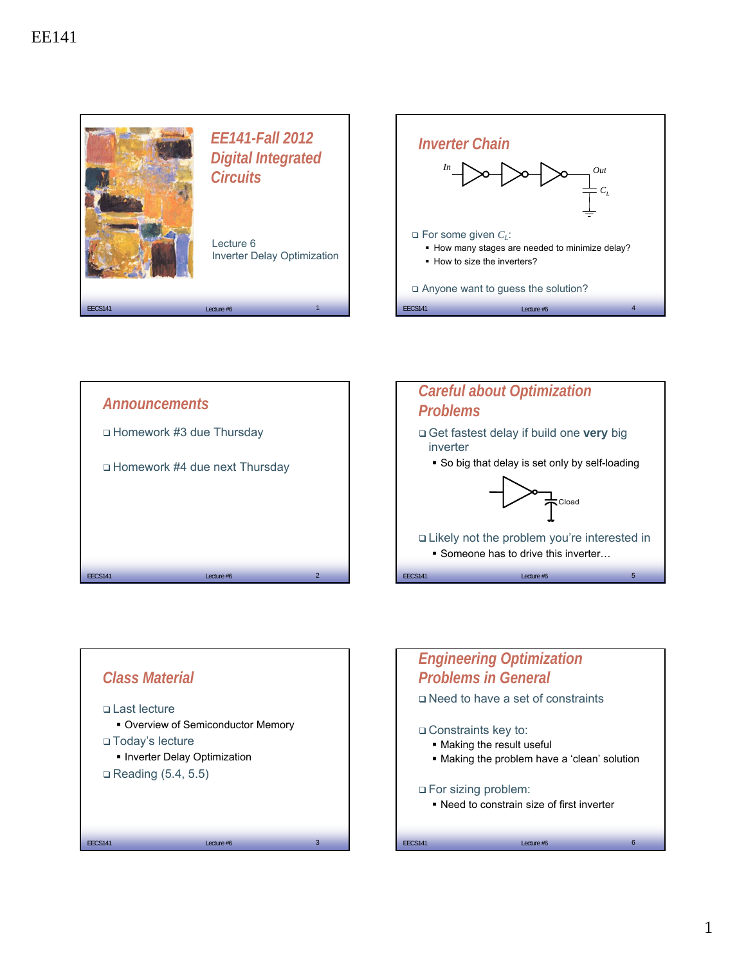





## $\text{EECS141}$  **EECS141 EECS141 EECS141 EECS141 EECS141 EECS141 EECS141 EECS141 EECS141 EECS141 EECS141 EECS141 EECS141 EECS141 EECS141 EECS141 EECS141 EECS141 EECS141 EECS141 EECS141** *Engineering Optimization Problems in General* Need to have a set of constraints Constraints key to: Making the result useful Making the problem have a 'clean' solution For sizing problem: Need to constrain size of first inverter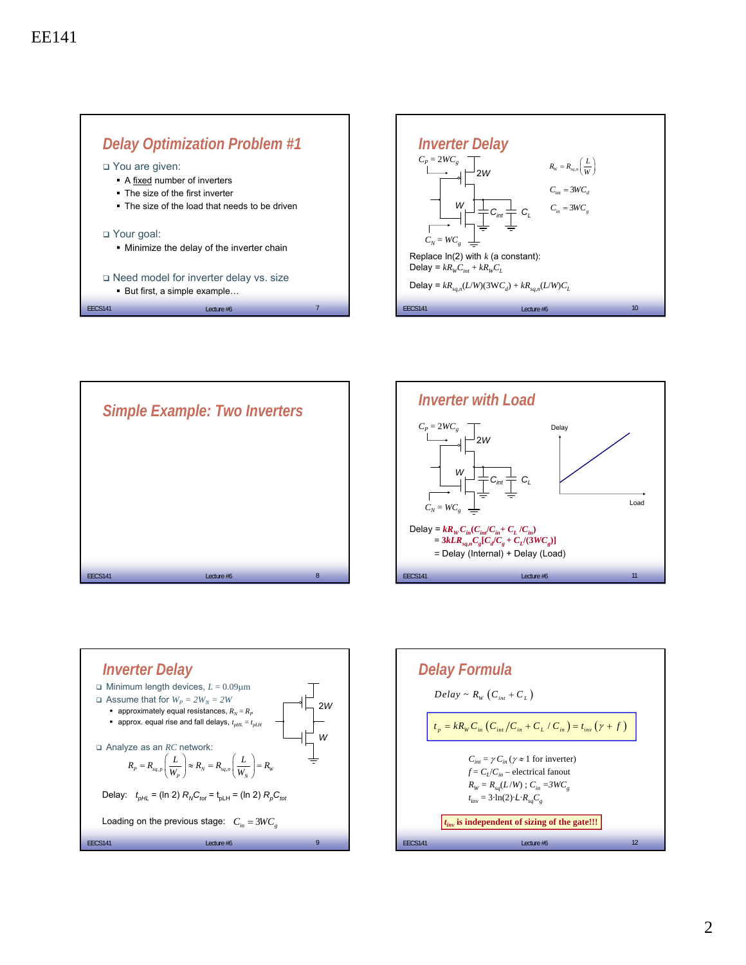







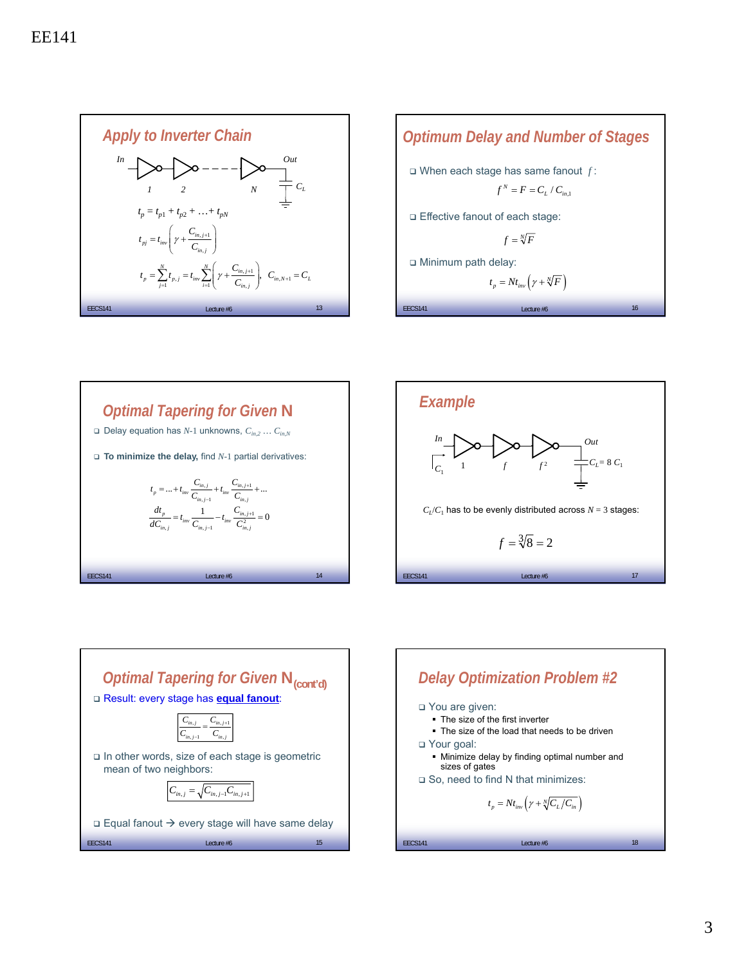









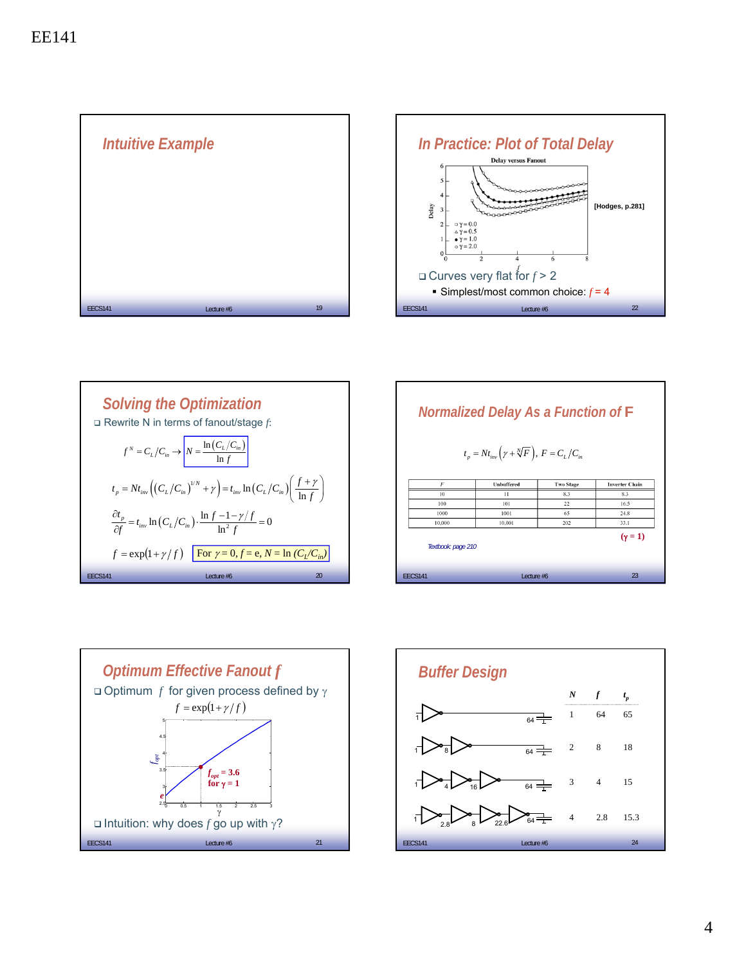





| <b>Normalized Delay As a Function of F</b><br>$t_p = N t_{inv} ( \gamma + \sqrt[N]{F} ), F = C_L / C_{in}$ |               |                  |                       |  |
|------------------------------------------------------------------------------------------------------------|---------------|------------------|-----------------------|--|
| F                                                                                                          | Unbuffered    | <b>Two Stage</b> | <b>Inverter Chain</b> |  |
| 10                                                                                                         | $\mathbf{11}$ | 8.3              | 8.3                   |  |
| 100                                                                                                        | 101           | 22               | 16.5                  |  |
| 1000                                                                                                       | 1001          | 65               | 24.8                  |  |
| 10.000                                                                                                     | 10,001        | 202              | 33.1                  |  |
| Textbook: page 210                                                                                         |               |                  | $(\gamma = 1)$        |  |
| <b>FFCS141</b><br>Lecture #6                                                                               |               |                  | 23                    |  |